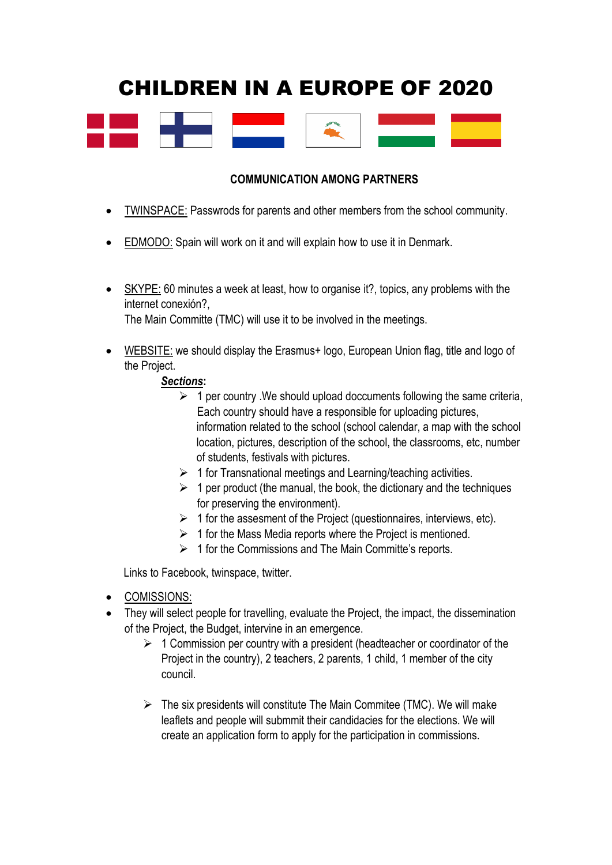# CHILDREN IN A EUROPE OF 2020



# **COMMUNICATION AMONG PARTNERS**

- TWINSPACE: Passwrods for parents and other members from the school community.
- EDMODO: Spain will work on it and will explain how to use it in Denmark.
- SKYPE: 60 minutes a week at least, how to organise it?, topics, any problems with the internet conexión?,

The Main Committe (TMC) will use it to be involved in the meetings.

WEBSITE: we should display the Erasmus+ logo, European Union flag, title and logo of the Project.

#### *Sections***:**

- $\geq 1$  per country . We should upload doccuments following the same criteria, Each country should have a responsible for uploading pictures, information related to the school (school calendar, a map with the school location, pictures, description of the school, the classrooms, etc, number of students, festivals with pictures.
- $\geq 1$  for Transnational meetings and Learning/teaching activities.
- $\geq 1$  per product (the manual, the book, the dictionary and the techniques for preserving the environment).
- $\triangleright$  1 for the assesment of the Project (questionnaires, interviews, etc).
- $\geq 1$  for the Mass Media reports where the Project is mentioned.
- $\geq 1$  for the Commissions and The Main Committe's reports.

Links to Facebook, twinspace, twitter.

- COMISSIONS:
- They will select people for travelling, evaluate the Project, the impact, the dissemination of the Project, the Budget, intervine in an emergence.
	- $\geq 1$  Commission per country with a president (headteacher or coordinator of the Project in the country), 2 teachers, 2 parents, 1 child, 1 member of the city council.
	- $\triangleright$  The six presidents will constitute The Main Commitee (TMC). We will make leaflets and people will submmit their candidacies for the elections. We will create an application form to apply for the participation in commissions.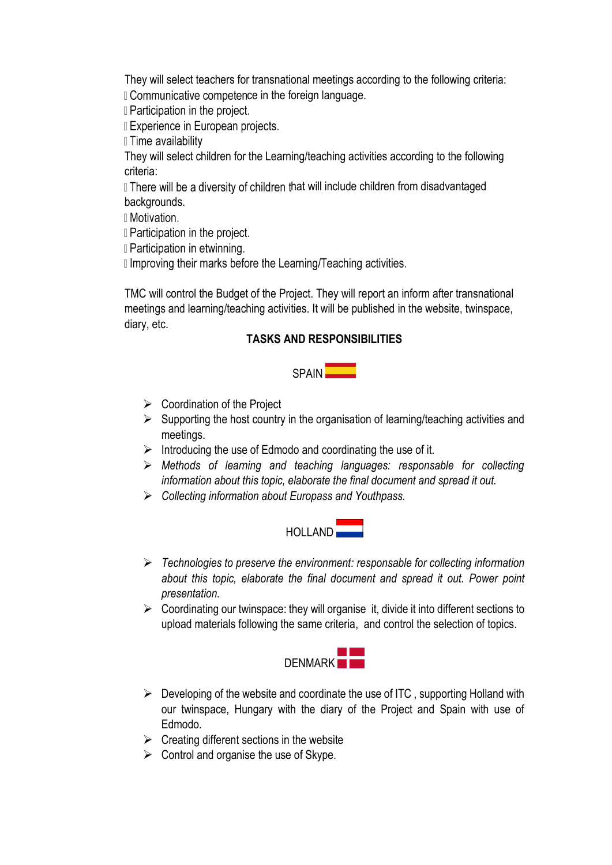They will select teachers for transnational meetings according to the following criteria: D Communicative competence in the foreign language.

**I** Participation in the project.

**I** Experience in European projects.

Il Time availability

They will select children for the Learning/teaching activities according to the following criteria:

If There will be a diversity of children that will include children from disadvantaged backgrounds.

II Motivation.

**I** Participation in the project.

**I** Participation in etwinning.

I Improving their marks before the Learning/Teaching activities.

TMC will control the Budget of the Project. They will report an inform after transnational meetings and learning/teaching activities. It will be published in the website, twinspace, diary, etc.

# **TASKS AND RESPONSIBILITIES**

SPAIN

- $\triangleright$  Coordination of the Project
- $\triangleright$  Supporting the host country in the organisation of learning/teaching activities and meetings.
- $\triangleright$  Introducing the use of Edmodo and coordinating the use of it.
- *Methods of learning and teaching languages: responsable for collecting information about this topic, elaborate the final document and spread it out.*
- *Collecting information about Europass and Youthpass.*



- *Technologies to preserve the environment: responsable for collecting information about this topic, elaborate the final document and spread it out. Power point presentation.*
- $\triangleright$  Coordinating our twinspace: they will organise it, divide it into different sections to upload materials following the same criteria, and control the selection of topics.



- $\triangleright$  Developing of the website and coordinate the use of ITC, supporting Holland with our twinspace, Hungary with the diary of the Project and Spain with use of Edmodo.
- $\triangleright$  Creating different sections in the website
- $\triangleright$  Control and organise the use of Skype.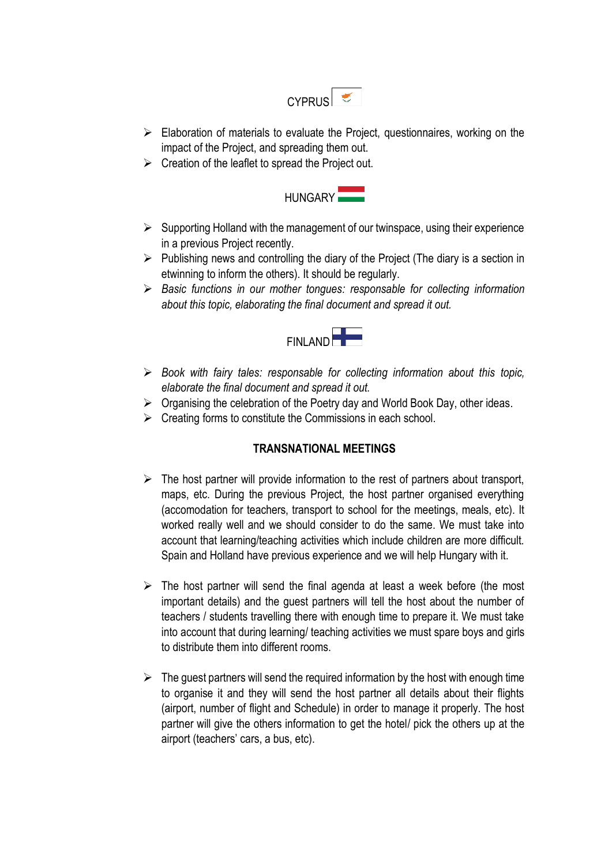

- $\triangleright$  Elaboration of materials to evaluate the Project, questionnaires, working on the impact of the Project, and spreading them out.
- $\triangleright$  Creation of the leaflet to spread the Project out.



- $\triangleright$  Supporting Holland with the management of our twinspace, using their experience in a previous Project recently.
- $\triangleright$  Publishing news and controlling the diary of the Project (The diary is a section in etwinning to inform the others). It should be regularly.
- *Basic functions in our mother tongues: responsable for collecting information about this topic, elaborating the final document and spread it out.*



- *Book with fairy tales: responsable for collecting information about this topic, elaborate the final document and spread it out.*
- $\triangleright$  Organising the celebration of the Poetry day and World Book Day, other ideas.
- $\triangleright$  Creating forms to constitute the Commissions in each school.

#### **TRANSNATIONAL MEETINGS**

- $\triangleright$  The host partner will provide information to the rest of partners about transport, maps, etc. During the previous Project, the host partner organised everything (accomodation for teachers, transport to school for the meetings, meals, etc). It worked really well and we should consider to do the same. We must take into account that learning/teaching activities which include children are more difficult. Spain and Holland have previous experience and we will help Hungary with it.
- $\triangleright$  The host partner will send the final agenda at least a week before (the most important details) and the guest partners will tell the host about the number of teachers / students travelling there with enough time to prepare it. We must take into account that during learning/ teaching activities we must spare boys and girls to distribute them into different rooms.
- $\triangleright$  The guest partners will send the required information by the host with enough time to organise it and they will send the host partner all details about their flights (airport, number of flight and Schedule) in order to manage it properly. The host partner will give the others information to get the hotel/ pick the others up at the airport (teachers' cars, a bus, etc).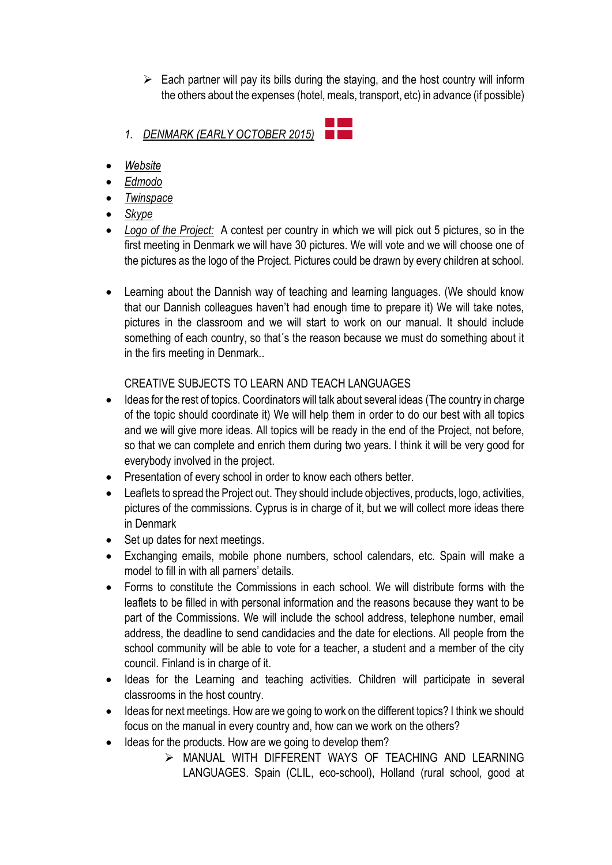- $\triangleright$  Each partner will pay its bills during the staying, and the host country will inform the others about the expenses (hotel, meals, transport, etc) in advance (if possible)
- *1. DENMARK (EARLY OCTOBER 2015)*
- *Website*
- *Edmodo*
- *Twinspace*
- *Skype*
- *Logo of the Project:* A contest per country in which we will pick out 5 pictures, so in the first meeting in Denmark we will have 30 pictures. We will vote and we will choose one of the pictures as the logo of the Project. Pictures could be drawn by every children at school.
- Learning about the Dannish way of teaching and learning languages. (We should know that our Dannish colleagues haven't had enough time to prepare it) We will take notes, pictures in the classroom and we will start to work on our manual. It should include something of each country, so that's the reason because we must do something about it in the firs meeting in Denmark..

# CREATIVE SUBJECTS TO LEARN AND TEACH LANGUAGES

- Ideas for the rest of topics. Coordinators will talk about several ideas (The country in charge of the topic should coordinate it) We will help them in order to do our best with all topics and we will give more ideas. All topics will be ready in the end of the Project, not before, so that we can complete and enrich them during two years. I think it will be very good for everybody involved in the project.
- Presentation of every school in order to know each others better.
- Leaflets to spread the Project out. They should include objectives, products, logo, activities, pictures of the commissions. Cyprus is in charge of it, but we will collect more ideas there in Denmark
- Set up dates for next meetings.
- Exchanging emails, mobile phone numbers, school calendars, etc. Spain will make a model to fill in with all parners' details.
- Forms to constitute the Commissions in each school. We will distribute forms with the leaflets to be filled in with personal information and the reasons because they want to be part of the Commissions. We will include the school address, telephone number, email address, the deadline to send candidacies and the date for elections. All people from the school community will be able to vote for a teacher, a student and a member of the city council. Finland is in charge of it.
- Ideas for the Learning and teaching activities. Children will participate in several classrooms in the host country.
- Ideas for next meetings. How are we going to work on the different topics? I think we should focus on the manual in every country and, how can we work on the others?
- Ideas for the products. How are we going to develop them?
	- MANUAL WITH DIFFERENT WAYS OF TEACHING AND LEARNING LANGUAGES. Spain (CLIL, eco-school), Holland (rural school, good at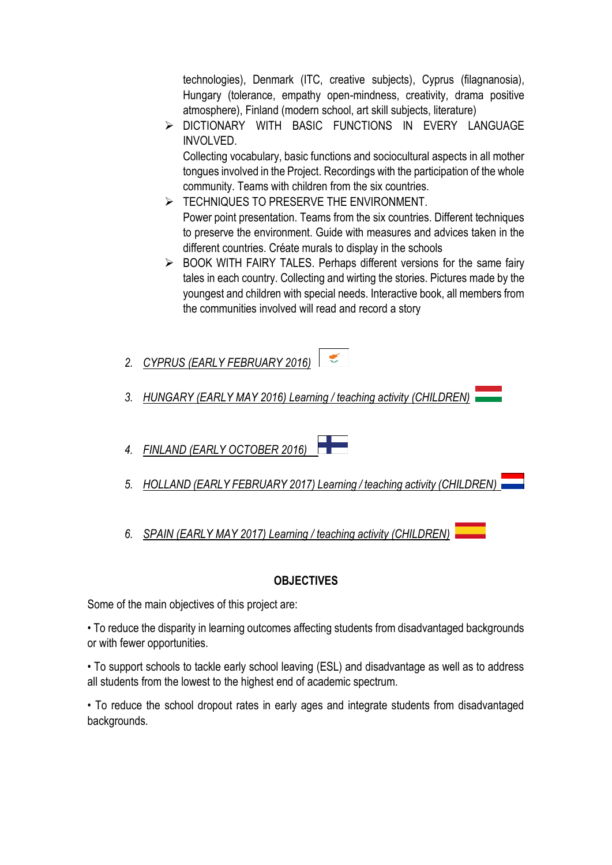technologies), Denmark (ITC, creative subjects), Cyprus (filagnanosia), Hungary (tolerance, empathy open-mindness, creativity, drama positive atmosphere), Finland (modern school, art skill subjects, literature)

 DICTIONARY WITH BASIC FUNCTIONS IN EVERY LANGUAGE INVOLVED.

Collecting vocabulary, basic functions and sociocultural aspects in all mother tongues involved in the Project. Recordings with the participation of the whole community. Teams with children from the six countries.

- $\triangleright$  TECHNIQUES TO PRESERVE THE ENVIRONMENT. Power point presentation. Teams from the six countries. Different techniques to preserve the environment. Guide with measures and advices taken in the different countries. Créate murals to display in the schools
- $\triangleright$  BOOK WITH FAIRY TALES. Perhaps different versions for the same fairy tales in each country. Collecting and wirting the stories. Pictures made by the youngest and children with special needs. Interactive book, all members from the communities involved will read and record a story
- $\mathcal{L}$ *2. CYPRUS (EARLY FEBRUARY 2016)*
- *3. HUNGARY (EARLY MAY 2016) Learning / teaching activity (CHILDREN)*
- *4. FINLAND (EARLY OCTOBER 2016)*
- *5. HOLLAND (EARLY FEBRUARY 2017) Learning / teaching activity (CHILDREN)*
- *6. SPAIN (EARLY MAY 2017) Learning / teaching activity (CHILDREN)*

# **OBJECTIVES**

Some of the main objectives of this project are:

• To reduce the disparity in learning outcomes affecting students from disadvantaged backgrounds or with fewer opportunities.

• To support schools to tackle early school leaving (ESL) and disadvantage as well as to address all students from the lowest to the highest end of academic spectrum.

• To reduce the school dropout rates in early ages and integrate students from disadvantaged backgrounds.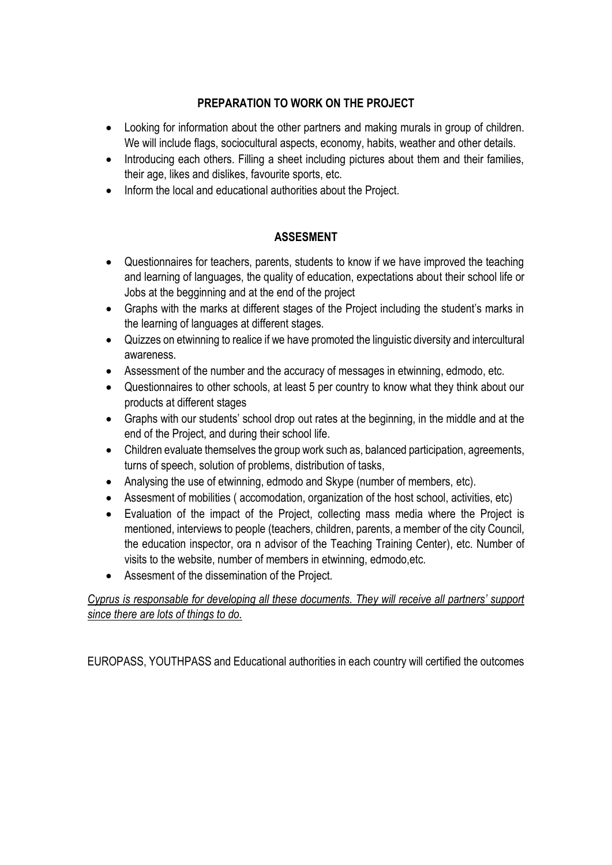# **PREPARATION TO WORK ON THE PROJECT**

- Looking for information about the other partners and making murals in group of children. We will include flags, sociocultural aspects, economy, habits, weather and other details.
- Introducing each others. Filling a sheet including pictures about them and their families, their age, likes and dislikes, favourite sports, etc.
- Inform the local and educational authorities about the Project.

# **ASSESMENT**

- Questionnaires for teachers, parents, students to know if we have improved the teaching and learning of languages, the quality of education, expectations about their school life or Jobs at the begginning and at the end of the project
- Graphs with the marks at different stages of the Project including the student's marks in the learning of languages at different stages.
- Quizzes on etwinning to realice if we have promoted the linguistic diversity and intercultural awareness.
- Assessment of the number and the accuracy of messages in etwinning, edmodo, etc.
- Questionnaires to other schools, at least 5 per country to know what they think about our products at different stages
- Graphs with our students' school drop out rates at the beginning, in the middle and at the end of the Project, and during their school life.
- Children evaluate themselves the group work such as, balanced participation, agreements, turns of speech, solution of problems, distribution of tasks,
- Analysing the use of etwinning, edmodo and Skype (number of members, etc).
- Assesment of mobilities ( accomodation, organization of the host school, activities, etc)
- Evaluation of the impact of the Project, collecting mass media where the Project is mentioned, interviews to people (teachers, children, parents, a member of the city Council, the education inspector, ora n advisor of the Teaching Training Center), etc. Number of visits to the website, number of members in etwinning, edmodo,etc.
- Assesment of the dissemination of the Project.

# *Cyprus is responsable for developing all these documents. They will receive all partners' support since there are lots of things to do.*

EUROPASS, YOUTHPASS and Educational authorities in each country will certified the outcomes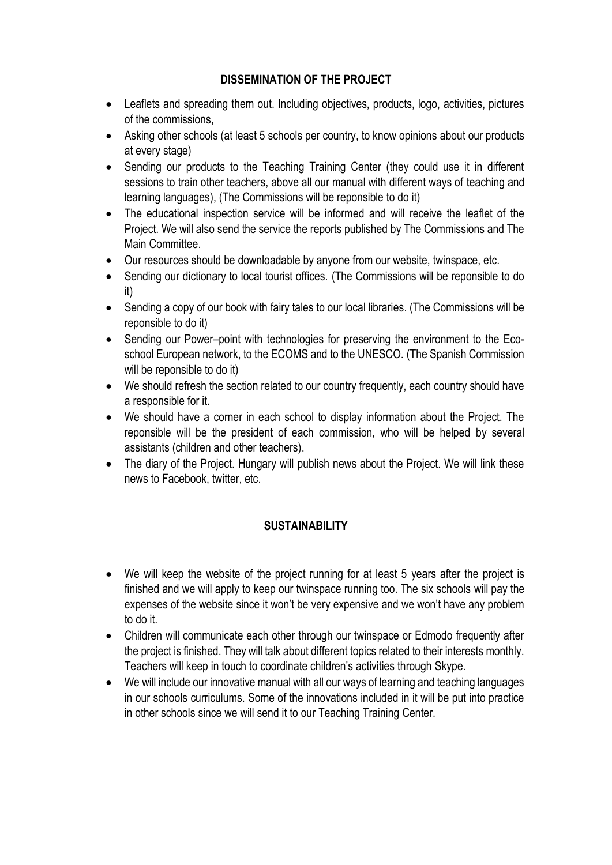# **DISSEMINATION OF THE PROJECT**

- Leaflets and spreading them out. Including objectives, products, logo, activities, pictures of the commissions,
- Asking other schools (at least 5 schools per country, to know opinions about our products at every stage)
- Sending our products to the Teaching Training Center (they could use it in different sessions to train other teachers, above all our manual with different ways of teaching and learning languages), (The Commissions will be reponsible to do it)
- The educational inspection service will be informed and will receive the leaflet of the Project. We will also send the service the reports published by The Commissions and The Main Committee.
- Our resources should be downloadable by anyone from our website, twinspace, etc.
- Sending our dictionary to local tourist offices. (The Commissions will be reponsible to do it)
- Sending a copy of our book with fairy tales to our local libraries. (The Commissions will be reponsible to do it)
- Sending our Power–point with technologies for preserving the environment to the Ecoschool European network, to the ECOMS and to the UNESCO. (The Spanish Commission will be reponsible to do it)
- We should refresh the section related to our country frequently, each country should have a responsible for it.
- We should have a corner in each school to display information about the Project. The reponsible will be the president of each commission, who will be helped by several assistants (children and other teachers).
- The diary of the Project. Hungary will publish news about the Project. We will link these news to Facebook, twitter, etc.

# **SUSTAINABILITY**

- We will keep the website of the project running for at least 5 years after the project is finished and we will apply to keep our twinspace running too. The six schools will pay the expenses of the website since it won't be very expensive and we won't have any problem to do it.
- Children will communicate each other through our twinspace or Edmodo frequently after the project is finished. They will talk about different topics related to their interests monthly. Teachers will keep in touch to coordinate children's activities through Skype.
- We will include our innovative manual with all our ways of learning and teaching languages in our schools curriculums. Some of the innovations included in it will be put into practice in other schools since we will send it to our Teaching Training Center.